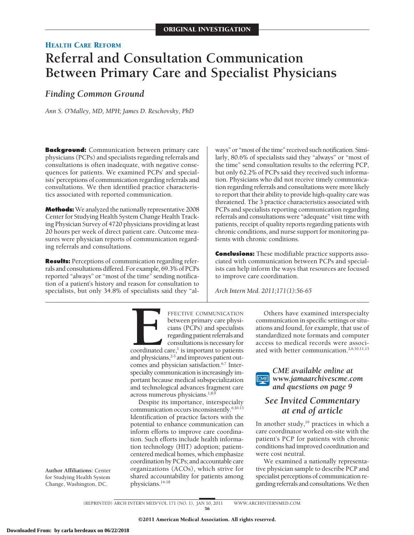# HEALTH CARE REFORM **Referral and Consultation Communication Between Primary Care and Specialist Physicians**

## *Finding Common Ground*

*Ann S. O'Malley, MD, MPH; James D. Reschovsky, PhD*

**Background:** Communication between primary care physicians (PCPs) and specialists regarding referrals and consultations is often inadequate, with negative consequences for patients. We examined PCPs' and specialists' perceptions of communication regarding referrals and consultations. We then identified practice characteristics associated with reported communication.

**Methods:**We analyzed the nationally representative 2008 Center for Studying Health System Change Health Tracking Physician Survey of 4720 physicians providing at least 20 hours per week of direct patient care. Outcome measures were physician reports of communication regarding referrals and consultations.

**Results:** Perceptions of communication regarding referrals and consultations differed. For example, 69.3% of PCPs reported "always" or "most of the time" sending notification of a patient's history and reason for consultation to specialists, but only 34.8% of specialists said they "always" or "most of the time" received such notification. Similarly, 80.6% of specialists said they "always" or "most of the time" send consultation results to the referring PCP, but only 62.2% of PCPs said they received such information. Physicians who did not receive timely communication regarding referrals and consultations were more likely to report that their ability to provide high-quality care was threatened. The 3 practice characteristics associated with PCPs and specialists reporting communication regarding referrals and consultations were "adequate" visit time with patients, receipt of quality reports regarding patients with chronic conditions, and nurse support for monitoring patients with chronic conditions.

**Conclusions:** These modifiable practice supports associated with communication between PCPs and specialists can help inform the ways that resources are focused to improve care coordination.

*Arch Intern Med. 2011;171(1):56-65*



**EFECTIVE COMMUNICATION**<br>
between primary care physicians (PCPs) and specialists<br>
regarding patient referrals and<br>
consultations is necessary for<br>
coordinated care,<sup>1</sup> is important to patients<br>
and physicians,<sup>2-5</sup> and imp between primary care physicians (PCPs) and specialists regarding patient referrals and

consultations is necessary for coordinated care, $<sup>1</sup>$  is important to patients</sup> and physicians, $2-5$  and improves patient outcomes and physician satisfaction.<sup>6,7</sup> Interspecialty communication is increasingly important because medical subspecialization and technological advances fragment care across numerous physicians.<sup>1,8,9</sup>

Despite its importance, interspecialty communication occurs inconsistently.6,10-13 Identification of practice factors with the potential to enhance communication can inform efforts to improve care coordination. Such efforts include health information technology (HIT) adoption; patientcentered medical homes, which emphasize coordination by PCPs; and accountable care organizations (ACOs), which strive for shared accountability for patients among physicians.14-18

Others have examined interspecialty communication in specific settings or situations and found, for example, that use of standardized note formats and computer access to medical records were associated with better communication.<sup>2,6,10,11,13</sup>

#### *CME available online at* **LME** *www.jamaarchivescme.com and questions on page 9*

## *See Invited Commentary at end of article*

In another study, $19$  practices in which a care coordinator worked on-site with the patient's PCP for patients with chronic conditions had improved coordination and were cost neutral.

We examined a nationally representative physician sample to describe PCP and specialist perceptions of communication regarding referrals and consultations.We then

**Author Affiliations:** Center for Studying Health System Change, Washington, DC.

(REPRINTED) ARCH INTERN MED/ VOL 171 (NO. 1), JAN 10, 2011 WWW.ARCHINTERNMED.COM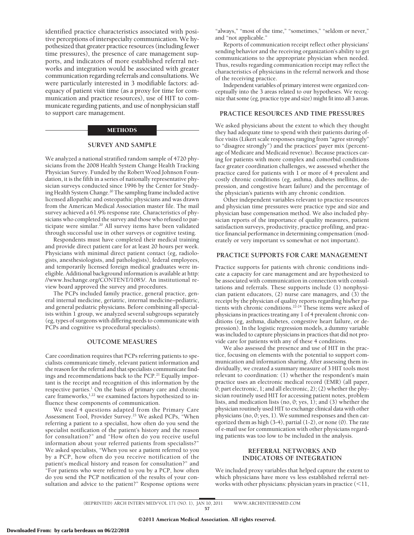identified practice characteristics associated with positive perceptions of interspecialty communication. We hypothesized that greater practice resources (including fewer time pressures), the presence of care management supports, and indicators of more established referral networks and integration would be associated with greater communication regarding referrals and consultations. We were particularly interested in 3 modifiable factors: adequacy of patient visit time (as a proxy for time for communication and practice resources), use of HIT to communicate regarding patients, and use of nonphysician staff to support care management.

### **METHODS**

## **SURVEY AND SAMPLE**

We analyzed a national stratified random sample of 4720 physicians from the 2008 Health System Change Health Tracking Physician Survey. Funded by the Robert Wood Johnson Foundation, it is the fifth in a series of nationally representative physician surveys conducted since 1996 by the Center for Studying Health System Change.<sup>20</sup> The sampling frame included active licensed allopathic and osteopathic physicians and was drawn from the American Medical Association master file. The mail survey achieved a 61.9% response rate. Characteristics of physicians who completed the survey and those who refused to participate were similar.<sup>20</sup> All survey items have been validated through successful use in other surveys or cognitive testing.

Respondents must have completed their medical training and provide direct patient care for at least 20 hours per week. Physicians with minimal direct patient contact (eg, radiologists, anesthesiologists, and pathologists), federal employees, and temporarily licensed foreign medical graduates were ineligible. Additional background information is available at http: //www.hschange.org/CONTENT/1085/. An institutional review board approved the survey and procedures.

The PCPs included family practice, general practice, general internal medicine, geriatric, internal medicine–pediatric, and general pediatric physicians. Before combining all specialists within 1 group, we analyzed several subgroups separately (eg, types of surgeons with differing needs to communicate with PCPs and cognitive vs procedural specialists).

## **OUTCOME MEASURES**

Care coordination requires that PCPs referring patients to specialists communicate timely, relevant patient information and the reason for the referral and that specialists communicate findings and recommendations back to the PCP.<sup>21</sup> Equally important is the receipt and recognition of this information by the respective parties.<sup>1</sup> On the basis of primary care and chronic care frameworks,<sup>1,22</sup> we examined factors hypothesized to influence these components of communication.

We used 4 questions adapted from the Primary Care Assessment Tool, Provider Survey.23 We asked PCPs, "When referring a patient to a specialist, how often do you send the specialist notification of the patient's history and the reason for consultation?" and "How often do you receive useful information about your referred patients from specialists?" We asked specialists, "When you see a patient referred to you by a PCP, how often do you receive notification of the patient's medical history and reason for consultation?" and "For patients who were referred to you by a PCP, how often do you send the PCP notification of the results of your consultation and advice to the patient?" Response options were

"always," "most of the time," "sometimes," "seldom or never," and "not applicable."

Reports of communication receipt reflect other physicians' sending behavior and the receiving organization's ability to get communications to the appropriate physician when needed. Thus, results regarding communication receipt may reflect the characteristics of physicians in the referral network and those of the receiving practice.

Independent variables of primary interest were organized conceptually into the 3 areas related to our hypotheses. We recognize that some (eg, practice type and size) might fit into all 3 areas.

## **PRACTICE RESOURCES AND TIME PRESSURES**

We asked physicians about the extent to which they thought they had adequate time to spend with their patients during office visits (Likert scale responses ranging from "agree strongly" to "disagree strongly") and the practices' payer mix (percentage of Medicare and Medicaid revenue). Because practices caring for patients with more complex and comorbid conditions face greater coordination challenges, we assessed whether the practice cared for patients with 1 or more of 4 prevalent and costly chronic conditions (eg, asthma, diabetes mellitus, depression, and congestive heart failure) and the percentage of the physician's patients with any chronic condition.

Other independent variables relevant to practice resources and physician time pressures were practice type and size and physician base compensation method. We also included physician reports of the importance of quality measures, patient satisfaction surveys, productivity, practice profiling, and practice financial performance in determining compensation (moderately or very important vs somewhat or not important).

## **PRACTICE SUPPORTS FOR CARE MANAGEMENT**

Practice supports for patients with chronic conditions indicate a capacity for care management and are hypothesized to be associated with communication in connection with consultations and referrals. These supports include (1) nonphysician patient educators, (2) nurse care managers, and (3) the receipt by the physician of quality reports regarding his/her patients with chronic conditions.<sup>22-24</sup> These items were asked of physicians in practices treating any 1 of 4 prevalent chronic conditions (eg, asthma, diabetes, congestive heart failure, or depression). In the logistic regression models, a dummy variable was included to capture physicians in practices that did not provide care for patients with any of these 4 conditions.

We also assessed the presence and use of HIT in the practice, focusing on elements with the potential to support communication and information sharing. After assessing them individually, we created a summary measure of 3 HIT tools most relevant to coordination: (1) whether the respondent's main practice uses an electronic medical record (EMR) (all paper, 0; part electronic, 1; and all electronic, 2); (2) whether the physician routinely used HIT for accessing patient notes, problem lists, and medication lists (no, 0; yes, 1); and (3) whether the physician routinely used HIT to exchange clinical data with other physicians (no, 0; yes, 1). We summed responses and then categorized them as high (3-4), partial (1-2), or none (0). The rate of e-mail use for communication with other physicians regarding patients was too low to be included in the analysis.

## **REFERRAL NETWORKS AND INDICATORS OF INTEGRATION**

We included proxy variables that helped capture the extent to which physicians have more vs less established referral networks with other physicians: physician years in practice  $(\leq 11,$ 

(REPRINTED) ARCH INTERN MED/ VOL 171 (NO. 1), JAN 10, 2011 WWW.ARCHINTERNMED.COM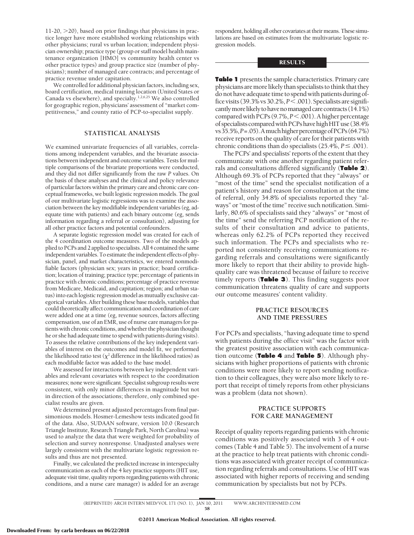11-20, 20), based on prior findings that physicians in practice longer have more established working relationships with other physicians; rural vs urban location; independent physician ownership; practice type (group or staff model health maintenance organization [HMO] vs community health center vs other practice types) and group practice size (number of physicians); number of managed care contracts; and percentage of practice revenue under capitation.

We controlled for additional physician factors, including sex, board certification, medical training location (United States or Canada vs elsewhere), and specialty.1,2,6,25 We also controlled for geographic region, physicians' assessment of "market competitiveness," and county ratio of PCP-to-specialist supply.

## **STATISTICAL ANALYSIS**

We examined univariate frequencies of all variables, correlations among independent variables, and the bivariate associations between independent and outcome variables. Tests for multiple comparisons of the bivariate proportions were conducted, and they did not differ significantly from the raw *P* values. On the basis of these analyses and the clinical and policy relevance of particular factors within the primary care and chronic care conceptual frameworks, we built logistic regression models. The goal of our multivariate logistic regressions was to examine the association between the key modifiable independent variables (eg, adequate time with patients) and each binary outcome (eg, sends information regarding a referral or consultation), adjusting for all other practice factors and potential confounders.

A separate logistic regression model was created for each of the 4 coordination outcome measures. Two of the models applied to PCPs and 2 applied to specialists. All 4 contained the same independent variables. To estimate the independent effects of physician, panel, and market characteristics, we entered nonmodifiable factors (physician sex; years in practice; board certification; location of training; practice type; percentage of patients in practice with chronic conditions; percentage of practice revenue from Medicare, Medicaid, and capitation; region; and urban status) into each logistic regression model as mutually exclusive categorical variables. After building these base models, variables that could theoretically affect communication and coordination of care were added one at a time (eg, revenue sources, factors affecting compensation, use of an EMR, use of nurse care managers for patients with chronic conditions, and whether the physician thought he or she had adequate time to spend with patients during visits). To assess the relative contributions of the key independent variables of interest on the outcomes and model fit, we performed the likelihood ratio test ( $\chi^2$  difference in the likelihood ratios) as each modifiable factor was added to the base model.

We assessed for interactions between key independent variables and relevant covariates with respect to the coordination measures; none were significant. Specialist subgroup results were consistent, with only minor differences in magnitude but not in direction of the associations; therefore, only combined specialist results are given.

We determined present adjusted percentages from final parsimonious models. Hosmer-Lemeshow tests indicated good fit of the data. Also, SUDAAN software, version 10.0 (Research Triangle Institute, Research Triangle Park, North Carolina) was used to analyze the data that were weighted for probability of selection and survey nonresponse. Unadjusted analyses were largely consistent with the multivariate logistic regression results and thus are not presented.

Finally, we calculated the predicted increase in interspecialty communication as each of the 4 key practice supports (HIT use, adequate visit time, quality reports regarding patients with chronic conditions, and a nurse care manager) is added for an average respondent, holding all other covariates at their means. These simulations are based on estimates from the multivariate logistic regression models.

## **RESULTS**

**Table 1** presents the sample characteristics. Primary care physicians aremorelikely than specialists to think that they do not have adequate time to spend with patients during office visits (39.3% vs 30.2%,*P*-.001). Specialists are significantly more likely to have no managed care contracts (14.1%) compared with PCPs (9.7%,*P*-.001).A higher percentage of specialists compared with PCPs have high HIT use (38.4%) vs  $35.5\%, P = .05$ ). A much higher percentage of PCPs (64.7%) receive reports on the quality of care for their patients with chronic conditions than do specialists  $(25.4\%, P \leq .001)$ .

The PCPs' and specialists' reports of the extent that they communicate with one another regarding patient referrals and consultations differed significantly (**Table 2**). Although 69.3% of PCPs reported that they "always" or "most of the time" send the specialist notification of a patient's history and reason for consultation at the time of referral, only 34.8% of specialists reported they "always" or "most of the time" receive such notification. Similarly, 80.6% of specialists said they "always" or "most of the time" send the referring PCP notification of the results of their consultation and advice to patients, whereas only 62.2% of PCPs reported they received such information. The PCPs and specialists who reported not consistently receiving communications regarding referrals and consultations were significantly more likely to report that their ability to provide highquality care was threatened because of failure to receive timely reports (**Table 3**). This finding suggests poor communication threatens quality of care and supports our outcome measures' content validity.

## **PRACTICE RESOURCES AND TIME PRESSURES**

For PCPs and specialists, "having adequate time to spend with patients during the office visit" was the factor with the greatest positive association with each communication outcome (**Table 4** and **Table 5**). Although physicians with higher proportions of patients with chronic conditions were more likely to report sending notification to their colleagues, they were also more likely to report that receipt of timely reports from other physicians was a problem (data not shown).

## **PRACTICE SUPPORTS FOR CARE MANAGEMENT**

Receipt of quality reports regarding patients with chronic conditions was positively associated with 3 of 4 outcomes (Table 4 and Table 5). The involvement of a nurse at the practice to help treat patients with chronic conditions was associated with greater receipt of communication regarding referrals and consultations. Use of HIT was associated with higher reports of receiving and sending communication by specialists but not by PCPs.

<sup>(</sup>REPRINTED) ARCH INTERN MED/ VOL 171 (NO. 1), JAN 10, 2011 WWW.ARCHINTERNMED.COM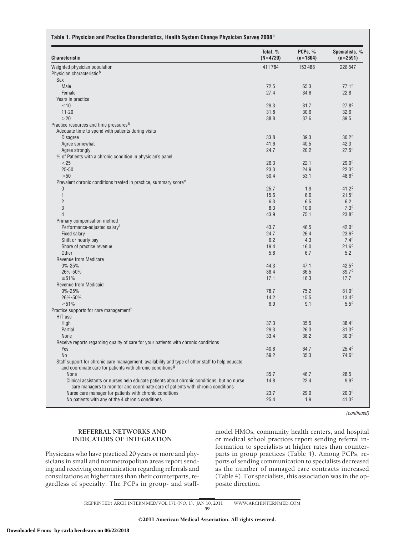| <b>Characteristic</b>                                                                                                                                                          | Total, %<br>$(N=4720)$ | PCPs, %<br>$(n=1804)$ | Specialists, %<br>$(n=2591)$ |
|--------------------------------------------------------------------------------------------------------------------------------------------------------------------------------|------------------------|-----------------------|------------------------------|
| Weighted physician population                                                                                                                                                  | 411784                 | 153488                | 228 847                      |
| Physician characteristic <sup>b</sup>                                                                                                                                          |                        |                       |                              |
| Sex                                                                                                                                                                            |                        |                       |                              |
| Male                                                                                                                                                                           | 72.5                   | 65.3                  | 77.1 <sup>c</sup>            |
| Female                                                                                                                                                                         | 27.4                   | 34.6                  | 22.8                         |
| Years in practice                                                                                                                                                              |                        |                       |                              |
| $\leq 10$                                                                                                                                                                      | 29.3                   | 31.7                  | 27.8 <sup>c</sup>            |
| $11 - 20$                                                                                                                                                                      | 31.8                   | 30.6                  | 32.6                         |
| >20                                                                                                                                                                            | 38.8                   | 37.6                  | 39.5                         |
| Practice resources and time pressures <sup>b</sup>                                                                                                                             |                        |                       |                              |
| Adequate time to spend with patients during visits                                                                                                                             |                        |                       |                              |
| <b>Disagree</b>                                                                                                                                                                | 33.8                   | 39.3                  | 30.2 <sup>c</sup>            |
| Agree somewhat                                                                                                                                                                 | 41.6                   | 40.5                  | 42.3                         |
| Agree strongly                                                                                                                                                                 | 24.7                   | 20.2                  | 27.5 <sup>c</sup>            |
| % of Patients with a chronic condition in physician's panel                                                                                                                    |                        |                       |                              |
| $<$ 25                                                                                                                                                                         | 26.3                   | 22.1                  | 29.0 <sup>c</sup>            |
| $25 - 50$                                                                                                                                                                      | 23.3                   | 24.9                  | 22.3 <sup>d</sup>            |
| >50                                                                                                                                                                            | 50.4                   | 53.1                  | 48.6 <sup>c</sup>            |
| Prevalent chronic conditions treated in practice, summary score <sup>e</sup>                                                                                                   |                        |                       |                              |
| 0                                                                                                                                                                              | 25.7                   | 1.9                   | 41.2 <sup>c</sup>            |
| 1                                                                                                                                                                              | 15.6                   | 6.6                   | 21.5 <sup>c</sup>            |
| $\overline{c}$                                                                                                                                                                 | 6.3                    | 6.5                   | 6.2                          |
| 3                                                                                                                                                                              | 8.3                    | 10.0                  | 7.3 <sup>c</sup>             |
| $\overline{4}$                                                                                                                                                                 | 43.9                   | 75.1                  | 23.8 <sup>c</sup>            |
| Primary compensation method                                                                                                                                                    |                        |                       |                              |
| Performance-adjusted salary <sup>f</sup>                                                                                                                                       | 43.7                   | 46.5                  | 42.0 <sup>c</sup>            |
| Fixed salary                                                                                                                                                                   | 24.7                   | 26.4                  | 23.6 <sup>d</sup>            |
|                                                                                                                                                                                | 6.2                    | 4.3                   | 7.4 <sup>c</sup>             |
| Shift or hourly pay                                                                                                                                                            |                        |                       | 21.6 <sup>c</sup>            |
| Share of practice revenue                                                                                                                                                      | 19.4                   | 16.0                  |                              |
| Other                                                                                                                                                                          | 5.8                    | 6.7                   | 5.2                          |
| <b>Revenue from Medicare</b>                                                                                                                                                   |                        |                       |                              |
| 0%-25%                                                                                                                                                                         | 44.3                   | 47.1                  | 42.5 <sup>c</sup>            |
| 26%-50%                                                                                                                                                                        | 38.4                   | 36.5                  | 39.7 <sup>d</sup>            |
| $\geq 51\%$                                                                                                                                                                    | 17.1                   | 16.3                  | 17.7                         |
| <b>Revenue from Medicaid</b>                                                                                                                                                   |                        |                       |                              |
| 0%-25%                                                                                                                                                                         | 78.7                   | 75.2                  | 81.0 <sup>c</sup>            |
| 26%-50%                                                                                                                                                                        | 14.2                   | 15.5                  | 13.4 <sup>d</sup>            |
| $\geq 51\%$                                                                                                                                                                    | 6.9                    | 9.1                   | 5.5 <sup>c</sup>             |
| Practice supports for care management <sup>b</sup>                                                                                                                             |                        |                       |                              |
| HIT use                                                                                                                                                                        |                        |                       |                              |
| High                                                                                                                                                                           | 37.3                   | 35.5                  | 38.4 <sup>d</sup>            |
| Partial                                                                                                                                                                        | 29.3                   | 26.3                  | 31.3 <sup>c</sup>            |
| None                                                                                                                                                                           | 33.4                   | 38.2                  | $30.3^\circ$                 |
| Receive reports regarding quality of care for your patients with chronic conditions                                                                                            |                        |                       |                              |
| Yes                                                                                                                                                                            | 40.8                   | 64.7                  | $25.4^{\circ}$               |
| No                                                                                                                                                                             | 59.2                   | 35.3                  | 74.6 <sup>c</sup>            |
| Staff support for chronic care management: availability and type of other staff to help educate                                                                                |                        |                       |                              |
| and coordinate care for patients with chronic conditions <sup>9</sup>                                                                                                          |                        |                       |                              |
| None                                                                                                                                                                           | 35.7                   | 46.7                  | 28.5                         |
| Clinical assistants or nurses help educate patients about chronic conditions, but no nurse<br>care managers to monitor and coordinate care of patients with chronic conditions | 14.8                   | 22.4                  | 9.9 <sup>c</sup>             |
| Nurse care manager for patients with chronic conditions                                                                                                                        | 23.7                   | 29.0                  | 20.3 <sup>c</sup>            |
| No patients with any of the 4 chronic conditions                                                                                                                               | 25.4                   | 1.9                   | 41.3 <sup>c</sup>            |

*(continued)*

## **REFERRAL NETWORKS AND INDICATORS OF INTEGRATION**

Physicians who have practiced 20 years or more and physicians in small and nonmetropolitan areas report sending and receiving communication regarding referrals and consultations at higher rates than their counterparts, regardless of specialty. The PCPs in group- and staffmodel HMOs, community health centers, and hospital or medical school practices report sending referral information to specialists at higher rates than counterparts in group practices (Table 4). Among PCPs, reports of sending communication to specialists decreased as the number of managed care contracts increased (Table 4). For specialists, this association was in the opposite direction.

(REPRINTED) ARCH INTERN MED/ VOL 171 (NO. 1), JAN 10, 2011 WWW.ARCHINTERNMED.COM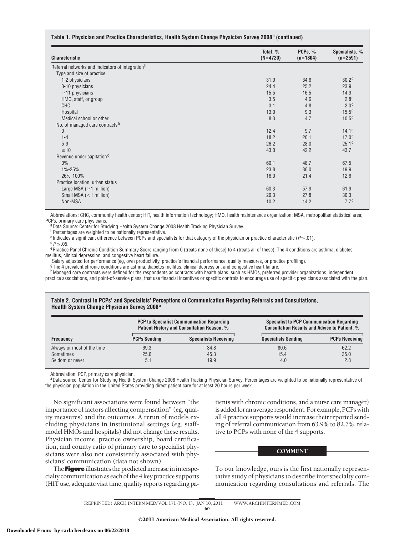| <b>Characteristic</b>                                        | Total, %<br>$(N=4720)$ | PCPs, %<br>$(n=1804)$ | Specialists, %<br>$(n=2591)$ |
|--------------------------------------------------------------|------------------------|-----------------------|------------------------------|
| Referral networks and indicators of integration <sup>b</sup> |                        |                       |                              |
| Type and size of practice                                    |                        |                       |                              |
| 1-2 physicians                                               | 31.9                   | 34.6                  | 30.2 <sup>c</sup>            |
| 3-10 physicians                                              | 24.4                   | 25.2                  | 23.9                         |
| $\geq$ 11 physicians                                         | 15.5                   | 16.5                  | 14.9                         |
| HMO, staff, or group                                         | 3.5                    | 4.6                   | 2.8 <sup>c</sup>             |
| <b>CHC</b>                                                   | 3.1                    | 4.8                   | 2.0 <sup>c</sup>             |
| Hospital                                                     | 13.0                   | 9.3                   | 15.5 <sup>c</sup>            |
| Medical school or other                                      | 8.3                    | 4.7                   | 10.5 <sup>c</sup>            |
| No. of managed care contracts <sup>h</sup>                   |                        |                       |                              |
| $\bf{0}$                                                     | 12.4                   | 9.7                   | 14.1 <sup>c</sup>            |
| $1 - 4$                                                      | 18.2                   | 20.1                  | 17.0 <sup>c</sup>            |
| $5-9$                                                        | 26.2                   | 28.0                  | 25.1 <sup>d</sup>            |
| $\geq 10$                                                    | 43.0                   | 42.2                  | 43.7                         |
| Revenue under capitation <sup>c</sup>                        |                        |                       |                              |
| $0\%$                                                        | 60.1                   | 48.7                  | 67.5                         |
| 1%-25%                                                       | 23.8                   | 30.0                  | 19.9                         |
| 26%-100%                                                     | 16.0                   | 21.4                  | 12.6                         |
| Practice location, urban status                              |                        |                       |                              |
| Large MSA ( $\geq$ 1 million)                                | 60.3                   | 57.9                  | 61.9                         |
| Small MSA $(<1$ million)                                     | 29.3                   | 27.8                  | 30.3                         |
| Non-MSA                                                      | 10.2                   | 14.2                  | 7.7 <sup>c</sup>             |

Abbreviations: CHC, community health center; HIT, health information technology; HMO, health maintenance organization; MSA, metropolitan statistical area; PCPs, primary care physicians.<br><sup>a</sup>Data Source: Center for Studying Health System Change 2008 Health Tracking Physician Survey.

**b** Percentages are weighted to be nationally representative.<br><sup>c</sup> Indicates a significant difference between PCPs and specialists for that category of the physician or practice characteristic ( $P \le 0.01$ ).

 $dP \leq 0.05$ .<br><sup>e</sup> Practice Panel Chronic Condition Summary Score ranging from 0 (treats none of these) to 4 (treats all of these). The 4 conditions are asthma, diabetes mellitus, clinical depression, and congestive heart failure.

Salary adjusted for performance (eg, own productivity, practice's financial performance, quality measures, or practice profiling).

<sup>g</sup> The 4 prevalent chronic conditions are asthma, diabetes mellitus, clinical depression, and congestive heart failure.

h Managed care contracts were defined for the respondents as contracts with health plans, such as HMOs, preferred provider organizations, independent

practice associations, and point-of-service plans, that use financial incentives or specific controls to encourage use of specific physicians associated with the plan.

## **Table 2. Contrast in PCPs' and Specialists' Perceptions of Communication Regarding Referrals and Consultations, Health System Change Physician Survey 2008<sup>a</sup>**

|                            |                     | <b>PCP to Specialist Communication Regarding</b><br>Patient History and Consultation Reason, % | <b>Specialist to PCP Communication Regarding</b><br>Consultation Results and Advice to Patient, % |                       |  |
|----------------------------|---------------------|------------------------------------------------------------------------------------------------|---------------------------------------------------------------------------------------------------|-----------------------|--|
| <b>Frequency</b>           | <b>PCPs Sending</b> | <b>Specialists Receiving</b>                                                                   | <b>Specialists Sending</b>                                                                        | <b>PCPs Receiving</b> |  |
| Always or most of the time | 69.3                | 34.8                                                                                           | 80.6                                                                                              | 62.2                  |  |
| Sometimes                  | 25.6                | 45.3                                                                                           | 15.4                                                                                              | 35.0                  |  |
| Seldom or never            |                     | 19.9                                                                                           | 4.0                                                                                               | 2.8                   |  |

Abbreviation: PCP, primary care physician.

aData source: Center for Studying Health System Change 2008 Health Tracking Physician Survey. Percentages are weighted to be nationally representative of the physician population in the United States providing direct patient care for at least 20 hours per week.

No significant associations were found between "the importance of factors affecting compensation" (eg, quality measures) and the outcomes. A rerun of models excluding physicians in institutional settings (eg, staffmodel HMOs and hospitals) did not change these results. Physician income, practice ownership, board certification, and county ratio of primary care to specialist physicians were also not consistently associated with physicians' communication (data not shown).

The **Figure** illustrates the predicted increase in interspecialty communication as each of the 4 key practice supports (HIT use, adequate visit time, quality reports regarding patients with chronic conditions, and a nurse care manager) is added for an average respondent. For example, PCPs with all 4 practice supports would increase their reported sending of referral communication from 63.9% to 82.7%, relative to PCPs with none of the 4 supports.

## **COMMENT**

To our knowledge, ours is the first nationally representative study of physicians to describe interspecialty communication regarding consultations and referrals. The

(REPRINTED) ARCH INTERN MED/ VOL 171 (NO. 1), JAN 10, 2011 WWW.ARCHINTERNMED.COM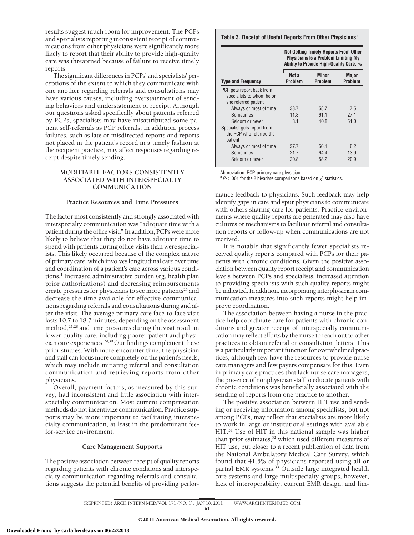results suggest much room for improvement. The PCPs and specialists reporting inconsistent receipt of communications from other physicians were significantly more likely to report that their ability to provide high-quality care was threatened because of failure to receive timely reports.

The significant differences in PCPs' and specialists' perceptions of the extent to which they communicate with one another regarding referrals and consultations may have various causes, including overstatement of sending behaviors and understatement of receipt. Although our questions asked specifically about patients referred by PCPs, specialists may have misattributed some patient self-referrals as PCP referrals. In addition, process failures, such as late or misdirected reports and reports not placed in the patient's record in a timely fashion at the recipient practice, may affect responses regarding receipt despite timely sending.

## **MODIFIABLE FACTORS CONSISTENTLY ASSOCIATED WITH INTERSPECIALTY COMMUNICATION**

## **Practice Resources and Time Pressures**

The factor most consistently and strongly associated with interspecialty communication was "adequate time with a patient during the office visit." In addition, PCPs were more likely to believe that they do not have adequate time to spend with patients during office visits than were specialists. This likely occurred because of the complex nature of primary care, which involves longitudinal care over time and coordination of a patient's care across various conditions.<sup>1</sup> Increased administrative burden (eg, health plan prior authorizations) and decreasing reimbursements create pressures for physicians to see more patients<sup>26</sup> and decrease the time available for effective communications regarding referrals and consultations during and after the visit. The average primary care face-to-face visit lasts 10.7 to 18.7 minutes, depending on the assessment method,<sup>27,28</sup> and time pressures during the visit result in lower-quality care, including poorer patient and physician care experiences.29,30 Our findings complement these prior studies. With more encounter time, the physician and staff can focus more completely on the patient's needs, which may include initiating referral and consultation communication and retrieving reports from other physicians.

Overall, payment factors, as measured by this survey, had inconsistent and little association with interspecialty communication. Most current compensation methods do not incentivize communication. Practice supports may be more important to facilitating interspecialty communication, at least in the predominant feefor-service environment.

#### **Care Management Supports**

The positive association between receipt of quality reports regarding patients with chronic conditions and interspecialty communication regarding referrals and consultations suggests the potential benefits of providing perfor-

#### **Table 3. Receipt of Useful Reports From Other Physicians<sup>a</sup>**

|                                                                                       | <b>Not Getting Timely Reports From Other</b><br><b>Physicians Is a Problem Limiting My</b><br>Ability to Provide High-Quality Care, % |                         |                                |  |  |
|---------------------------------------------------------------------------------------|---------------------------------------------------------------------------------------------------------------------------------------|-------------------------|--------------------------------|--|--|
| <b>Type and Frequency</b>                                                             | Not a<br>Problem                                                                                                                      | <b>Minor</b><br>Problem | <b>Major</b><br><b>Problem</b> |  |  |
| PCP gets report back from<br>specialists to whom he or<br>she referred patient        |                                                                                                                                       |                         |                                |  |  |
| Always or most of time                                                                | 33.7                                                                                                                                  | 58.7                    | 7.5                            |  |  |
| Sometimes                                                                             | 11.8                                                                                                                                  | 61.1                    | 27.1                           |  |  |
| Seldom or never<br>Specialist gets report from<br>the PCP who referred the<br>patient | 81                                                                                                                                    | 40.8                    | 51.0                           |  |  |
| Always or most of time                                                                | 37.7                                                                                                                                  | 56.1                    | 6.2                            |  |  |
| Sometimes                                                                             | 217                                                                                                                                   | 64.4                    | 13.9                           |  |  |
| Seldom or never                                                                       | 20.8                                                                                                                                  | 58.2                    | 20.9                           |  |  |

Abbreviation: PCP, primary care physician.

 $a$  *P* < .001 for the 2 bivariate comparisons based on  $\chi^2$  statistics.

mance feedback to physicians. Such feedback may help identify gaps in care and spur physicians to communicate with others sharing care for patients. Practice environments where quality reports are generated may also have cultures or mechanisms to facilitate referral and consultation reports or follow-up when communications are not received.

It is notable that significantly fewer specialists received quality reports compared with PCPs for their patients with chronic conditions. Given the positive association between quality report receipt and communication levels between PCPs and specialists, increased attention to providing specialists with such quality reports might be indicated. In addition, incorporating interphysician communication measures into such reports might help improve coordination.

The association between having a nurse in the practice help coordinate care for patients with chronic conditions and greater receipt of interspecialty communication may reflect efforts by the nurse to reach out to other practices to obtain referral or consultation letters. This is a particularly important function for overwhelmed practices, although few have the resources to provide nurse care managers and few payers compensate for this. Even in primary care practices that lack nurse care managers, the presence of nonphysician staff to educate patients with chronic conditions was beneficially associated with the sending of reports from one practice to another.

The positive association between HIT use and sending or receiving information among specialists, but not among PCPs, may reflect that specialists are more likely to work in large or institutional settings with available HIT.31 Use of HIT in this national sample was higher than prior estimates,<sup>32</sup> which used different measures of HIT use, but closer to a recent publication of data from the National Ambulatory Medical Care Survey, which found that 41.5% of physicians reported using all or partial EMR systems.<sup>33</sup> Outside large integrated health care systems and large multispecialty groups, however, lack of interoperability, current EMR design, and lim-

<sup>(</sup>REPRINTED) ARCH INTERN MED/ VOL 171 (NO. 1), JAN 10, 2011 WWW.ARCHINTERNMED.COM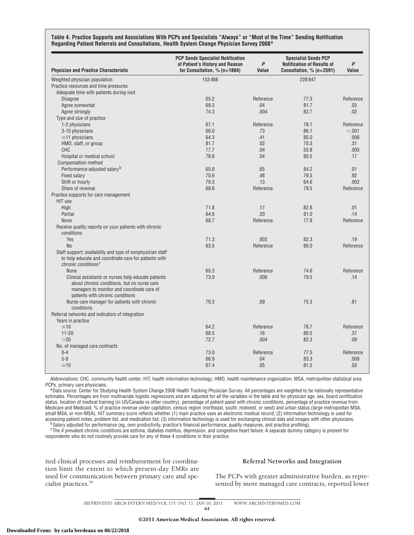| Table 4. Practice Supports and Associations With PCPs and Specialists "Always" or "Most of the Time" Sending Notification |
|---------------------------------------------------------------------------------------------------------------------------|
| Regarding Patient Referrals and Consultations, Health System Change Physician Survey 2008 <sup>a</sup>                    |

| <b>Physician and Practice Characteristic</b>                                                                                                                                         | <b>PCP Sends Specialist Notification</b><br>of Patient's History and Reason<br>for Consultation, % $(n=1804)$ | P<br>Value | <b>Specialist Sends PCP</b><br><b>Notification of Results of</b><br>Consultation, $% (n=2591)$ | $\overline{P}$<br>Value |
|--------------------------------------------------------------------------------------------------------------------------------------------------------------------------------------|---------------------------------------------------------------------------------------------------------------|------------|------------------------------------------------------------------------------------------------|-------------------------|
| Weighted physician population                                                                                                                                                        | 153488                                                                                                        |            | 228 847                                                                                        |                         |
| Practice resources and time pressures                                                                                                                                                |                                                                                                               |            |                                                                                                |                         |
| Adequate time with patients during visit                                                                                                                                             |                                                                                                               |            |                                                                                                |                         |
| <b>Disagree</b>                                                                                                                                                                      | 65.2                                                                                                          | Reference  | 77.5                                                                                           | Reference               |
| Agree somewhat                                                                                                                                                                       | 69.3                                                                                                          | .04        | 81.7                                                                                           | .03                     |
| Agree strongly                                                                                                                                                                       | 74.3                                                                                                          | .004       | 82.7                                                                                           | .02                     |
| Type and size of practice                                                                                                                                                            |                                                                                                               |            |                                                                                                |                         |
| 1-2 physicians                                                                                                                                                                       | 67.1                                                                                                          | Reference  | 78.1                                                                                           | Reference               |
| 3-10 physicians                                                                                                                                                                      | 66.0                                                                                                          | .73        | 86.1                                                                                           | < 0.01                  |
| $\geq$ 11 physicians                                                                                                                                                                 | 64.3                                                                                                          | .41        | 85.0                                                                                           | .006                    |
| HMO, staff, or group                                                                                                                                                                 | 81.7                                                                                                          | .02        | 70.3                                                                                           | .31                     |
| CHC                                                                                                                                                                                  | 77.7                                                                                                          | .04        | 55.8                                                                                           | .005                    |
| Hospital or medical school                                                                                                                                                           | 78.8                                                                                                          | .04        | 80.5                                                                                           | .17                     |
| <b>Compensation method</b>                                                                                                                                                           |                                                                                                               |            |                                                                                                |                         |
| Performance-adjusted salary <sup>b</sup>                                                                                                                                             | 65.8                                                                                                          | .65        | 84.2                                                                                           | .01                     |
| Fixed salary                                                                                                                                                                         | 70.6                                                                                                          | .48        | 79.5                                                                                           | .92                     |
| Shift or hourly                                                                                                                                                                      | 79.3                                                                                                          | .13        | 64.6                                                                                           | .002                    |
| Share of revenue                                                                                                                                                                     | 68.6                                                                                                          | Reference  | 79.5                                                                                           | Reference               |
| Practice supports for care management                                                                                                                                                |                                                                                                               |            |                                                                                                |                         |
| HIT use                                                                                                                                                                              |                                                                                                               |            |                                                                                                |                         |
| High                                                                                                                                                                                 | 71.8                                                                                                          | .17        | 82.8                                                                                           | .01                     |
| Partial                                                                                                                                                                              | 64.6                                                                                                          | .20        | 81.0                                                                                           | 14                      |
| <b>None</b>                                                                                                                                                                          | 68.7                                                                                                          | Reference  | 77.8                                                                                           | Reference               |
| Receive quality reports on your patients with chronic                                                                                                                                |                                                                                                               |            |                                                                                                |                         |
| conditions                                                                                                                                                                           |                                                                                                               |            |                                                                                                |                         |
| <b>Yes</b>                                                                                                                                                                           | 71.3                                                                                                          | .002       | 82.3                                                                                           | .19                     |
| <b>No</b>                                                                                                                                                                            | 63.5                                                                                                          | Reference  | 80.0                                                                                           | Reference               |
| Staff support: availability and type of nonphysician staff<br>to help educate and coordinate care for patients with<br>chronic conditions <sup>c</sup>                               |                                                                                                               |            |                                                                                                |                         |
| <b>None</b>                                                                                                                                                                          | 65.3                                                                                                          | Reference  | 74.6                                                                                           | Reference               |
| Clinical assistants or nurses help educate patients<br>about chronic conditions, but no nurse care<br>managers to monitor and coordinate care of<br>patients with chronic conditions | 73.0                                                                                                          | .006       | 79.5                                                                                           | .14                     |
| Nurse care manager for patients with chronic<br>conditions                                                                                                                           | 70.3                                                                                                          | .09        | 75.3                                                                                           | .81                     |
| Referral networks and indicators of integration<br>Years in practice                                                                                                                 |                                                                                                               |            |                                                                                                |                         |
| $\leq 10$                                                                                                                                                                            | 64.2                                                                                                          | Reference  | 78.7                                                                                           | Reference               |
| $11 - 20$                                                                                                                                                                            | 68.5                                                                                                          | .16        | 80.5                                                                                           | .37                     |
| >20                                                                                                                                                                                  | 72.7                                                                                                          | .004       | 82.3                                                                                           | .09                     |
| No. of managed care contracts                                                                                                                                                        |                                                                                                               |            |                                                                                                |                         |
| $0 - 4$                                                                                                                                                                              | 73.0                                                                                                          | Reference  | 77.5                                                                                           | Reference               |
| $5 - 9$                                                                                                                                                                              | 66.9                                                                                                          | .04        | 83.3                                                                                           | .008                    |
| $\geq 10$                                                                                                                                                                            | 67.4                                                                                                          | .05        | 81.5                                                                                           | .03                     |

Abbreviations: CHC, community health center; HIT, health information technology; HMO, health maintenance organization; MSA, metropolitan statistical area;

a Data source: Center for Studying Health System Change 2008 Health Tracking Physician Survey. All percentages are weighted to be nationally representative estimates. Percentages are from multivariate logistic regressions and are adjusted for all the variables in the table and for physician age, sex, board certification status, location of medical training (in US/Canada vs other country), percentage of patient panel with chronic conditions, percentage of practice revenue from Medicare and Medicaid, % of practice revenue under capitation, census region (northeast, south, midwest, or west) and urban status (large metropolitan MSA, small MSA, or non-MSA). HIT summary score reflects whether (1) main practice uses an electronic medical record; (2) information technology is used for<br>accessing patient notes, problem list, and medication list; (3) informa

<sup>b</sup> Salary adjusted for performance (eg, own productivity, practice's financial performance, quality measures, and practice profiling). cThe 4 prevalent chronic conditions are asthma, diabetes mellitus, depression, and congestive heart failure. A separate dummy category is present for

respondents who do not routinely provide care for any of these 4 conditions in their practice.

ited clinical processes and reimbursement for coordination limit the extent to which present-day EMRs are used for communication between primary care and specialist practices.<sup>34</sup>

## **Referral Networks and Integration**

The PCPs with greater administrative burden, as represented by more managed care contracts, reported lower

(REPRINTED) ARCH INTERN MED/ VOL 171 (NO. 1), JAN 10, 2011 WWW.ARCHINTERNMED.COM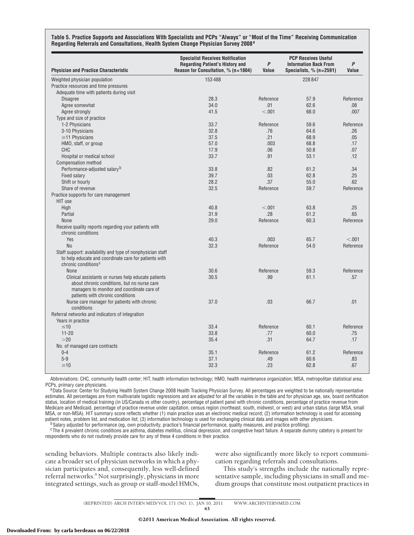| Table 5. Practice Supports and Associations With Specialists and PCPs "Always" or "Most of the Time" Receiving Communication |  |
|------------------------------------------------------------------------------------------------------------------------------|--|
| Regarding Referrals and Consultations, Health System Change Physician Survey 2008ª                                           |  |

| <b>Physician and Practice Characteristic</b>               | <b>Specialist Receives Notification</b><br><b>Regarding Patient's History and</b><br>Reason for Consultation, % (n=1804) | $\boldsymbol{P}$<br>Value | <b>PCP Receives Useful</b><br><b>Information Back From</b><br>Specialists, $% (n=2591)$ | P<br>Value |
|------------------------------------------------------------|--------------------------------------------------------------------------------------------------------------------------|---------------------------|-----------------------------------------------------------------------------------------|------------|
| Weighted physician population                              | 153488                                                                                                                   |                           | 228 847                                                                                 |            |
| Practice resources and time pressures                      |                                                                                                                          |                           |                                                                                         |            |
| Adequate time with patients during visit                   |                                                                                                                          |                           |                                                                                         |            |
| <b>Disagree</b>                                            | 28.3                                                                                                                     | Reference                 | 57.9                                                                                    | Reference  |
| Agree somewhat                                             | 34.0                                                                                                                     | .01                       | 62.6                                                                                    | .08        |
| Agree strongly                                             | 41.5                                                                                                                     | < .001                    | 68.0                                                                                    | .007       |
| Type and size of practice                                  |                                                                                                                          |                           |                                                                                         |            |
| 1-2 Physicians                                             | 33.7                                                                                                                     | Reference                 | 59.6                                                                                    | Reference  |
| 3-10 Physicians                                            | 32.8                                                                                                                     | .76                       | 64.6                                                                                    | .26        |
| $\geq$ 11 Physicians                                       | 37.5                                                                                                                     | .21                       | 68.9                                                                                    | .05        |
| HMO, staff, or group                                       | 57.0                                                                                                                     | .003                      | 68.8                                                                                    | .17        |
| CHC                                                        | 17.9                                                                                                                     | .06                       | 50.8                                                                                    | .07        |
| Hospital or medical school                                 | 33.7                                                                                                                     | .91                       | 53.1                                                                                    | .12        |
| <b>Compensation method</b>                                 |                                                                                                                          |                           |                                                                                         |            |
| Performance-adjusted salary <sup>b</sup>                   | 33.8                                                                                                                     | .82                       | 61.2                                                                                    | .34        |
| Fixed salary                                               | 39.7                                                                                                                     | .03                       | 62.8                                                                                    | .25        |
| Shift or hourly                                            | 28.2                                                                                                                     | .37                       | 55.0                                                                                    | .62        |
| Share of revenue                                           | 32.5                                                                                                                     | Reference                 | 59.7                                                                                    | Reference  |
| Practice supports for care management                      |                                                                                                                          |                           |                                                                                         |            |
| HIT use                                                    |                                                                                                                          |                           |                                                                                         |            |
| High                                                       | 40.8                                                                                                                     | < .001                    | 63.8                                                                                    | .25        |
| Partial                                                    | 31.9                                                                                                                     | .28                       | 61.2                                                                                    | .65        |
| <b>None</b>                                                | 29.0                                                                                                                     | Reference                 | 60.3                                                                                    | Reference  |
| Receive quality reports regarding your patients with       |                                                                                                                          |                           |                                                                                         |            |
| chronic conditions                                         |                                                                                                                          |                           |                                                                                         |            |
| Yes                                                        | 40.3                                                                                                                     | .003                      | 65.7                                                                                    | < .001     |
| <b>No</b>                                                  | 32.3                                                                                                                     | Reference                 | 54.0                                                                                    | Reference  |
| Staff support: availability and type of nonphysician staff |                                                                                                                          |                           |                                                                                         |            |
| to help educate and coordinate care for patients with      |                                                                                                                          |                           |                                                                                         |            |
| chronic conditions <sup>c</sup>                            |                                                                                                                          |                           |                                                                                         |            |
| <b>None</b>                                                | 30.6                                                                                                                     | Reference                 | 59.3                                                                                    | Reference  |
| Clinical assistants or nurses help educate patients        | 30.5                                                                                                                     | .99                       | 61.1                                                                                    | .57        |
| about chronic conditions, but no nurse care                |                                                                                                                          |                           |                                                                                         |            |
| managers to monitor and coordinate care of                 |                                                                                                                          |                           |                                                                                         |            |
| patients with chronic conditions                           |                                                                                                                          |                           |                                                                                         |            |
| Nurse care manager for patients with chronic               | 37.0                                                                                                                     | .03                       | 66.7                                                                                    | .01        |
| conditions                                                 |                                                                                                                          |                           |                                                                                         |            |
| Referral networks and indicators of integration            |                                                                                                                          |                           |                                                                                         |            |
| Years in practice                                          |                                                                                                                          |                           |                                                                                         |            |
| $\leq 10$                                                  | 33.4                                                                                                                     | Reference                 | 60.1                                                                                    | Reference  |
| $11 - 20$                                                  | 33.8                                                                                                                     | .77                       | 60.0                                                                                    | .75        |
| >20                                                        | 35.4                                                                                                                     | .31                       | 64.7                                                                                    | .17        |
| No. of managed care contracts                              |                                                                                                                          |                           |                                                                                         |            |
| $0 - 4$                                                    | 35.1                                                                                                                     | Reference                 | 61.2                                                                                    | Reference  |
| $5 - 9$                                                    | 37.1                                                                                                                     | .49                       | 60.6                                                                                    | .83        |
| $\geq 10$                                                  | 32.3                                                                                                                     | .23                       | 62.8                                                                                    | .67        |
|                                                            |                                                                                                                          |                           |                                                                                         |            |

Abbreviations: CHC, community health center; HIT, health information technology; HMO, health maintenance organization; MSA, metropolitan statistical area;

a Data Source: Center for Studying Health System Change 2008 Health Tracking Physician Survey. All percentages are weighted to be nationally representative estimates. All percentages are from multivariate logistic regressions and are adjusted for all the variables in the table and for physician age, sex, board certification status, location of medical training (in US/Canada vs other country), percentage of patient panel with chronic conditions, percentage of practice revenue from Medicare and Medicaid, percentage of practice revenue under capitation, census region (northeast, south, midwest, or west) and urban status (large MSA, small MSA, or non-MSA). HIT summary score reflects whether (1) main practice uses an electronic medical record; (2) information technology is used for accessing<br>patient notes, problem list, and medication list; (3) information t

<sup>b</sup> Salary adjusted for performance (eg, own productivity, practice's financial performance, quality measures, and practice profiling).

cThe 4 prevalent chronic conditions are asthma, diabetes mellitus, clinical depression, and congestive heart failure. A separate dummy catetory is present for respondents who do not routinely provide care for any of these 4 conditions in their practice.

sending behaviors. Multiple contracts also likely indicate a broader set of physician networks in which a physician participates and, consequently, less well-defined referral networks.<sup>9</sup> Not surprisingly, physicians in more integrated settings, such as group or staff-model HMOs,

were also significantly more likely to report communication regarding referrals and consultations.

This study's strengths include the nationally representative sample, including physicians in small and medium groups that constitute most outpatient practices in

(REPRINTED) ARCH INTERN MED/ VOL 171 (NO. 1), JAN 10, 2011 WWW.ARCHINTERNMED.COM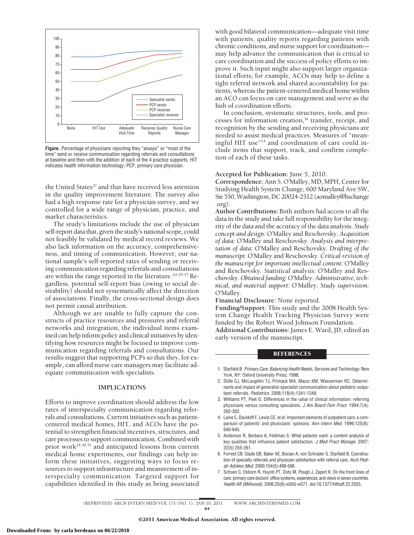

**Figure.** Percentage of physicians reporting they "always" or "most of the time" send or receive communication regarding referrals and consultations at baseline and then with the addition of each of the 4 practice supports. HIT indicates health information technology; PCP, primary care physician.

the United States<sup>27</sup> and that have received less attention in the quality improvement literature. The survey also had a high response rate for a physician survey, and we controlled for a wide range of physician, practice, and market characteristics.

The study's limitations include the use of physician self-report data that, given the study's national scope, could not feasibly be validated by medical record reviews. We also lack information on the accuracy, comprehensiveness, and timing of communication. However, our national sample's self-reported rates of sending or receiving communication regarding referrals and consultations are within the range reported in the literature.<sup>2,6,10-13</sup> Regardless, potential self-report bias (owing to social desirability) should not systematically affect the direction of associations. Finally, the cross-sectional design does not permit causal attribution.

Although we are unable to fully capture the constructs of practice resources and pressures and referral networks and integration, the individual items examined can help inform policy and clinical initiatives by identifying how resources might be focused to improve communication regarding referrals and consultations. Our results suggest that supporting PCPs so that they, for example, can afford nurse care managers may facilitate adequate communication with specialists.

## **IMPLICATIONS**

Efforts to improve coordination should address the low rates of interspecialty communication regarding referrals and consultations. Current initiatives such as patientcentered medical homes, HIT, and ACOs have the potential to strengthen financial incentives, structures, and care processes to support communication. Combined with prior work<sup>24,30,35</sup> and anticipated lessons from current medical home experiments, our findings can help inform these initiatives, suggesting ways to focus resources to support infrastructure and measurement of interspecialty communication. Targeted support for capabilities identified in this study as being associated with good bilateral communication—adequate visit time with patients, quality reports regarding patients with chronic conditions, and nurse support for coordination may help advance the communication that is critical to care coordination and the success of policy efforts to improve it. Such input might also support larger organizational efforts; for example, ACOs may help to define a tight referral network and shared accountability for patients, whereas the patient-centered medical home within an ACO can focus on care management and serve as the hub of coordination efforts.

In conclusion, systematic structures, tools, and processes for information creation,<sup>36</sup> transfer, receipt, and recognition by the sending and receiving physicians are needed to assist medical practices. Measures of "meaningful HIT use $n<sup>14</sup>$  and coordination of care could include items that support, track, and confirm completion of each of these tasks.

#### **Accepted for Publication:** June 5, 2010.

**Correspondence:** Ann S. O'Malley, MD, MPH, Center for Studying Health System Change, 600 Maryland Ave SW, Ste 550,Washington, DC 20024-2512 (aomalley@hschange .org).

**Author Contributions:** Both authors had access to all the data in the study and take full responsibility for the integrity of the data and the accuracy of the data analysis. *Study concept and design:* O'Malley and Reschovsky. *Acquisition of data:* O'Malley and Reschovsky. *Analysis and interpretation of data:* O'Malley and Reschovsky. *Drafting of the manuscript:* O'Malley and Reschovsky. *Critical revision of the manuscript for important intellectual content:* O'Malley and Reschovsky. *Statistical analysis:* O'Malley and Reschovsky.*Obtained funding:* O'Malley. *Administrative, technical, and material support:* O'Malley. *Study supervision:* O'Malley.

**Financial Disclosure:** None reported.

**Funding/Support:** This study and the 2008 Health System Change Health Tracking Physician Survey were funded by the Robert Wood Johnson Foundation. **Additional Contributions:** James E. Ward, JD, edited an

early version of the manuscript.

#### REFERENCES

- 1. Starfield B. *Primary Care: Balancing Health Needs, Services and Technology.* New York, NY: Oxford University Press; 1998.
- 2. Stille CJ, McLaughlin TJ, Primack WA, Mazor KM, Wasserman RC. Determinants and impact of generalist-specialist communication about pediatric outpatient referrals. *Pediatrics*. 2006;118(4):1341-1349.
- 3. Williams PT, Peet G. Differences in the value of clinical information: referring physicians versus consulting specialists. *J Am Board Fam Pract*. 1994;7(4): 292-302.
- 4. Laine C, Davidoff F, Lewis CE, et al. Important elements of outpatient care: a comparison of patients' and physicians' opinions. *Ann Intern Med*. 1996;125(8): 640-645.
- 5. Anderson R, Barbara A, Feldman S. What patients want: a content analysis of key qualities that influence patient satisfaction. *J Med Pract Manage*. 2007; 22(5):255-261.
- 6. Forrest CB, Glade GB, Baker AE, Bocian A, von Schrader S, Starfield B. Coordination of specialty referrals and physician satisfaction with referral care. *Arch Pediatr Adolesc Med*. 2000;154(5):499-506.
- 7. Schoen C, Osborn R, Huynh PT, Doty M, Peugh J, Zapert K. On the front lines of care: primary care doctors' office systems, experiences, and views in seven countries. *Health Aff (Millwood)*. 2006;25(6):w555-w571. doi:10.1377/hlthaff.25.2555.

(REPRINTED) ARCH INTERN MED/ VOL 171 (NO. 1), JAN 10, 2011 WWW.ARCHINTERNMED.COM